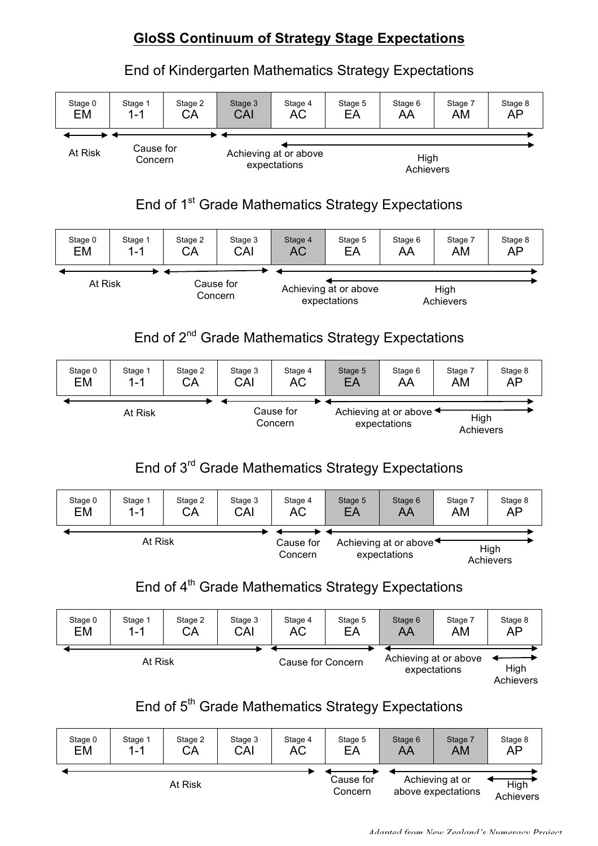## **GloSS Continuum of Strategy Stage Expectations**

End of Kindergarten Mathematics Strategy Expectations